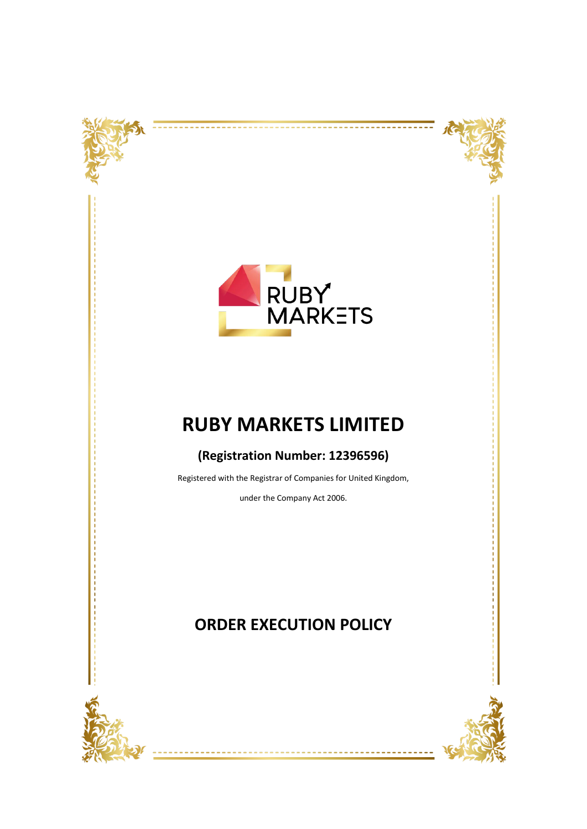





# **RUBY MARKETS LIMITED**

### **(Registration Number: 12396596)**

Registered with the Registrar of Companies for United Kingdom,

under the Company Act 2006.

## **ORDER EXECUTION POLICY**

<u> - - - - - - -</u>



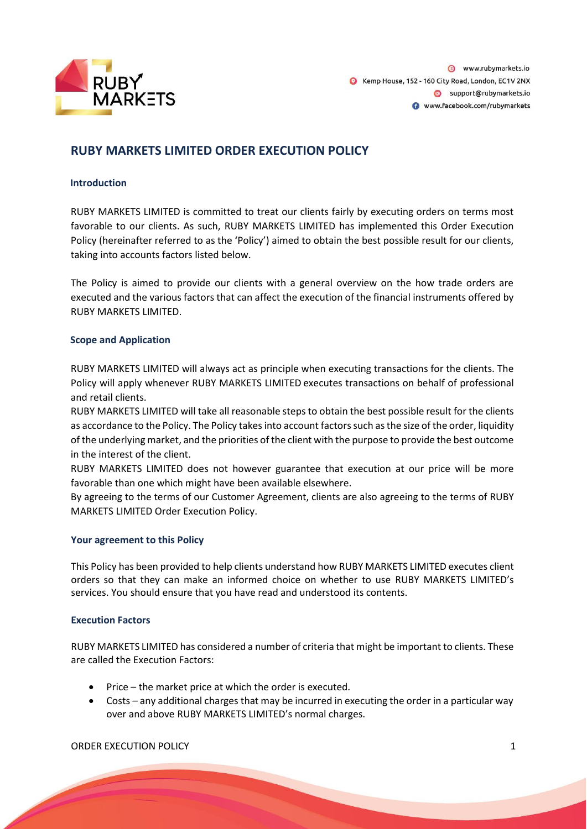

### **RUBY MARKETS LIMITED ORDER EXECUTION POLICY**

#### **Introduction**

RUBY MARKETS LIMITED is committed to treat our clients fairly by executing orders on terms most favorable to our clients. As such, RUBY MARKETS LIMITED has implemented this Order Execution Policy (hereinafter referred to as the 'Policy') aimed to obtain the best possible result for our clients, taking into accounts factors listed below.

The Policy is aimed to provide our clients with a general overview on the how trade orders are executed and the various factors that can affect the execution of the financial instruments offered by RUBY MARKETS LIMITED.

#### **Scope and Application**

RUBY MARKETS LIMITED will always act as principle when executing transactions for the clients. The Policy will apply whenever RUBY MARKETS LIMITED executes transactions on behalf of professional and retail clients.

RUBY MARKETS LIMITED will take all reasonable steps to obtain the best possible result for the clients as accordance to the Policy. The Policy takes into account factors such as the size of the order, liquidity of the underlying market, and the priorities of the client with the purpose to provide the best outcome in the interest of the client.

RUBY MARKETS LIMITED does not however guarantee that execution at our price will be more favorable than one which might have been available elsewhere.

By agreeing to the terms of our Customer Agreement, clients are also agreeing to the terms of RUBY MARKETS LIMITED Order Execution Policy.

#### **Your agreement to this Policy**

This Policy has been provided to help clients understand how RUBY MARKETS LIMITED executes client orders so that they can make an informed choice on whether to use RUBY MARKETS LIMITED's services. You should ensure that you have read and understood its contents.

#### **Execution Factors**

RUBY MARKETS LIMITED has considered a number of criteria that might be important to clients. These are called the Execution Factors:

- Price the market price at which the order is executed.
- Costs any additional charges that may be incurred in executing the order in a particular way over and above RUBY MARKETS LIMITED's normal charges.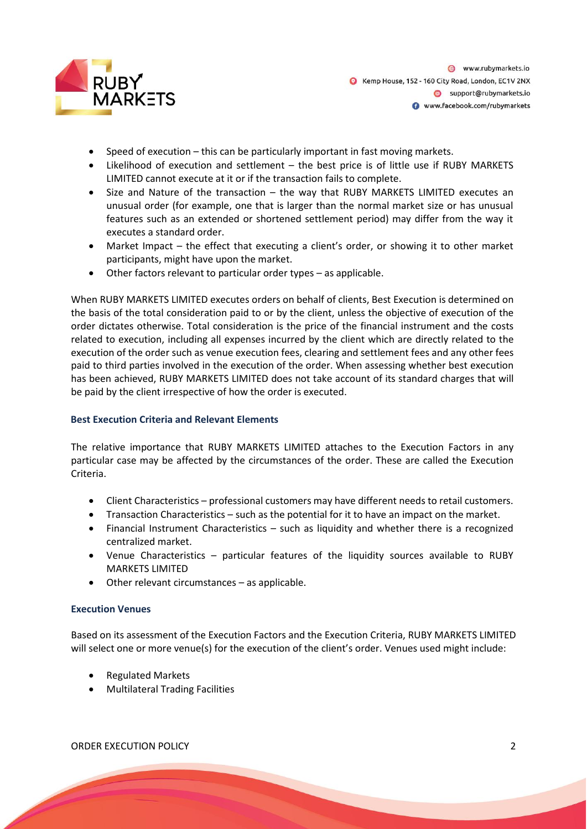

- Speed of execution this can be particularly important in fast moving markets.
- Likelihood of execution and settlement the best price is of little use if RUBY MARKETS LIMITED cannot execute at it or if the transaction fails to complete.
- Size and Nature of the transaction the way that RUBY MARKETS LIMITED executes an unusual order (for example, one that is larger than the normal market size or has unusual features such as an extended or shortened settlement period) may differ from the way it executes a standard order.
- Market Impact the effect that executing a client's order, or showing it to other market participants, might have upon the market.
- Other factors relevant to particular order types as applicable.

When RUBY MARKETS LIMITED executes orders on behalf of clients, Best Execution is determined on the basis of the total consideration paid to or by the client, unless the objective of execution of the order dictates otherwise. Total consideration is the price of the financial instrument and the costs related to execution, including all expenses incurred by the client which are directly related to the execution of the order such as venue execution fees, clearing and settlement fees and any other fees paid to third parties involved in the execution of the order. When assessing whether best execution has been achieved, RUBY MARKETS LIMITED does not take account of its standard charges that will be paid by the client irrespective of how the order is executed.

#### **Best Execution Criteria and Relevant Elements**

The relative importance that RUBY MARKETS LIMITED attaches to the Execution Factors in any particular case may be affected by the circumstances of the order. These are called the Execution Criteria.

- Client Characteristics professional customers may have different needs to retail customers.
- Transaction Characteristics such as the potential for it to have an impact on the market.
- Financial Instrument Characteristics such as liquidity and whether there is a recognized centralized market.
- Venue Characteristics particular features of the liquidity sources available to RUBY MARKETS LIMITED
- Other relevant circumstances as applicable.

#### **Execution Venues**

Based on its assessment of the Execution Factors and the Execution Criteria, RUBY MARKETS LIMITED will select one or more venue(s) for the execution of the client's order. Venues used might include:

- Regulated Markets
- Multilateral Trading Facilities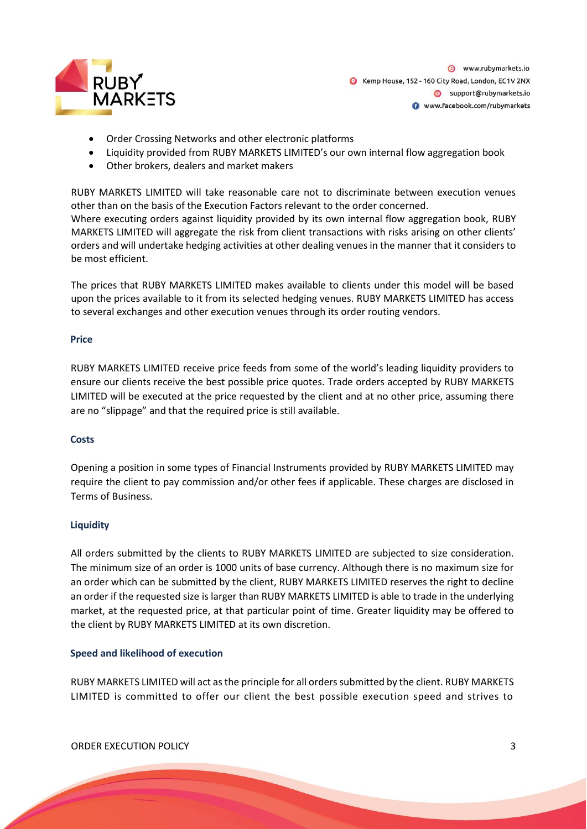

- Order Crossing Networks and other electronic platforms
- Liquidity provided from RUBY MARKETS LIMITED's our own internal flow aggregation book
- Other brokers, dealers and market makers

RUBY MARKETS LIMITED will take reasonable care not to discriminate between execution venues other than on the basis of the Execution Factors relevant to the order concerned. Where executing orders against liquidity provided by its own internal flow aggregation book, RUBY MARKETS LIMITED will aggregate the risk from client transactions with risks arising on other clients' orders and will undertake hedging activities at other dealing venues in the manner that it considers to be most efficient.

The prices that RUBY MARKETS LIMITED makes available to clients under this model will be based upon the prices available to it from its selected hedging venues. RUBY MARKETS LIMITED has access to several exchanges and other execution venues through its order routing vendors.

#### **Price**

RUBY MARKETS LIMITED receive price feeds from some of the world's leading liquidity providers to ensure our clients receive the best possible price quotes. Trade orders accepted by RUBY MARKETS LIMITED will be executed at the price requested by the client and at no other price, assuming there are no "slippage" and that the required price is still available.

#### **Costs**

Opening a position in some types of Financial Instruments provided by RUBY MARKETS LIMITED may require the client to pay commission and/or other fees if applicable. These charges are disclosed in Terms of Business.

#### **Liquidity**

All orders submitted by the clients to RUBY MARKETS LIMITED are subjected to size consideration. The minimum size of an order is 1000 units of base currency. Although there is no maximum size for an order which can be submitted by the client, RUBY MARKETS LIMITED reserves the right to decline an order if the requested size is larger than RUBY MARKETS LIMITED is able to trade in the underlying market, at the requested price, at that particular point of time. Greater liquidity may be offered to the client by RUBY MARKETS LIMITED at its own discretion.

#### **Speed and likelihood of execution**

RUBY MARKETS LIMITED will act as the principle for all orders submitted by the client. RUBY MARKETS LIMITED is committed to offer our client the best possible execution speed and strives to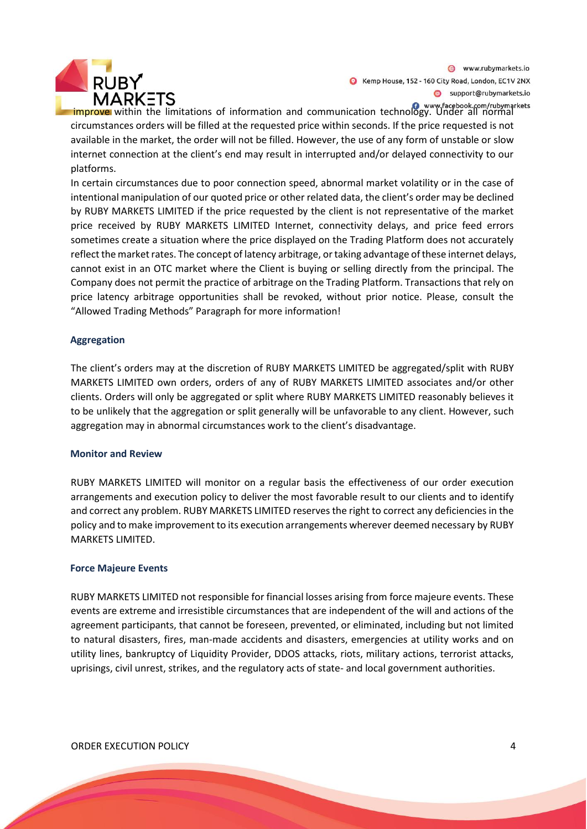

www.rubymarkets.io Kemp House, 152 - 160 City Road, London, EC1V 2NX Support@rubymarkets.io

**improve** within the limitations of information and communication technology. Under all normal circumstances orders will be filled at the requested price within seconds. If the price requested is not available in the market, the order will not be filled. However, the use of any form of unstable or slow internet connection at the client's end may result in interrupted and/or delayed connectivity to our platforms.

In certain circumstances due to poor connection speed, abnormal market volatility or in the case of intentional manipulation of our quoted price or other related data, the client's order may be declined by RUBY MARKETS LIMITED if the price requested by the client is not representative of the market price received by RUBY MARKETS LIMITED Internet, connectivity delays, and price feed errors sometimes create a situation where the price displayed on the Trading Platform does not accurately reflect the market rates. The concept of latency arbitrage, or taking advantage of these internet delays, cannot exist in an OTC market where the Client is buying or selling directly from the principal. The Company does not permit the practice of arbitrage on the Trading Platform. Transactions that rely on price latency arbitrage opportunities shall be revoked, without prior notice. Please, consult the "Allowed Trading Methods" Paragraph for more information!

#### **Aggregation**

The client's orders may at the discretion of RUBY MARKETS LIMITED be aggregated/split with RUBY MARKETS LIMITED own orders, orders of any of RUBY MARKETS LIMITED associates and/or other clients. Orders will only be aggregated or split where RUBY MARKETS LIMITED reasonably believes it to be unlikely that the aggregation or split generally will be unfavorable to any client. However, such aggregation may in abnormal circumstances work to the client's disadvantage.

#### **Monitor and Review**

RUBY MARKETS LIMITED will monitor on a regular basis the effectiveness of our order execution arrangements and execution policy to deliver the most favorable result to our clients and to identify and correct any problem. RUBY MARKETS LIMITED reserves the right to correct any deficiencies in the policy and to make improvement to its execution arrangements wherever deemed necessary by RUBY MARKETS LIMITED.

#### **Force Majeure Events**

RUBY MARKETS LIMITED not responsible for financial losses arising from force majeure events. These events are extreme and irresistible circumstances that are independent of the will and actions of the agreement participants, that cannot be foreseen, prevented, or eliminated, including but not limited to natural disasters, fires, man-made accidents and disasters, emergencies at utility works and on utility lines, bankruptcy of Liquidity Provider, DDOS attacks, riots, military actions, terrorist attacks, uprisings, civil unrest, strikes, and the regulatory acts of state- and local government authorities.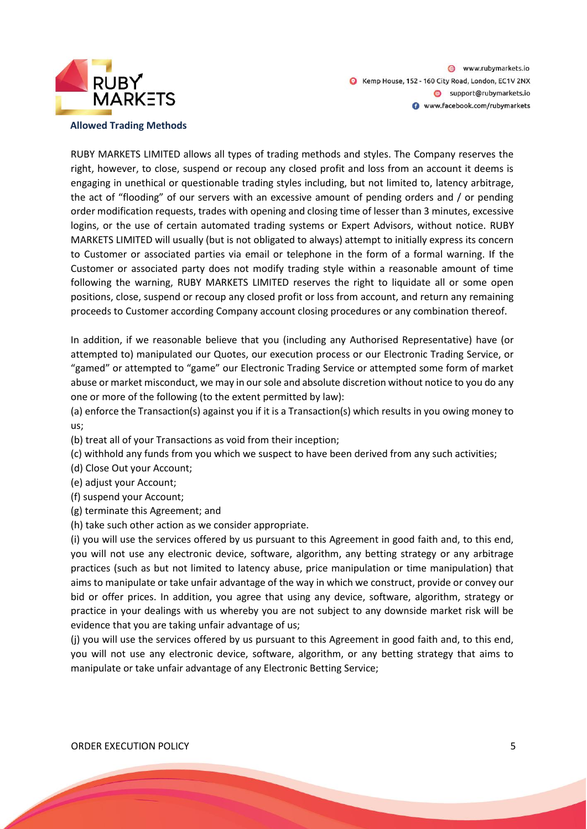

RUBY MARKETS LIMITED allows all types of trading methods and styles. The Company reserves the right, however, to close, suspend or recoup any closed profit and loss from an account it deems is engaging in unethical or questionable trading styles including, but not limited to, latency arbitrage, the act of "flooding" of our servers with an excessive amount of pending orders and / or pending order modification requests, trades with opening and closing time of lesser than 3 minutes, excessive logins, or the use of certain automated trading systems or Expert Advisors, without notice. RUBY MARKETS LIMITED will usually (but is not obligated to always) attempt to initially express its concern to Customer or associated parties via email or telephone in the form of a formal warning. If the Customer or associated party does not modify trading style within a reasonable amount of time following the warning, RUBY MARKETS LIMITED reserves the right to liquidate all or some open positions, close, suspend or recoup any closed profit or loss from account, and return any remaining proceeds to Customer according Company account closing procedures or any combination thereof.

In addition, if we reasonable believe that you (including any Authorised Representative) have (or attempted to) manipulated our Quotes, our execution process or our Electronic Trading Service, or "gamed" or attempted to "game" our Electronic Trading Service or attempted some form of market abuse or market misconduct, we may in our sole and absolute discretion without notice to you do any one or more of the following (to the extent permitted by law):

(a) enforce the Transaction(s) against you if it is a Transaction(s) which results in you owing money to us;

- (b) treat all of your Transactions as void from their inception;
- (c) withhold any funds from you which we suspect to have been derived from any such activities;
- (d) Close Out your Account;
- (e) adjust your Account;
- (f) suspend your Account;
- (g) terminate this Agreement; and
- (h) take such other action as we consider appropriate.

(i) you will use the services offered by us pursuant to this Agreement in good faith and, to this end, you will not use any electronic device, software, algorithm, any betting strategy or any arbitrage practices (such as but not limited to latency abuse, price manipulation or time manipulation) that aims to manipulate or take unfair advantage of the way in which we construct, provide or convey our bid or offer prices. In addition, you agree that using any device, software, algorithm, strategy or practice in your dealings with us whereby you are not subject to any downside market risk will be evidence that you are taking unfair advantage of us;

(j) you will use the services offered by us pursuant to this Agreement in good faith and, to this end, you will not use any electronic device, software, algorithm, or any betting strategy that aims to manipulate or take unfair advantage of any Electronic Betting Service;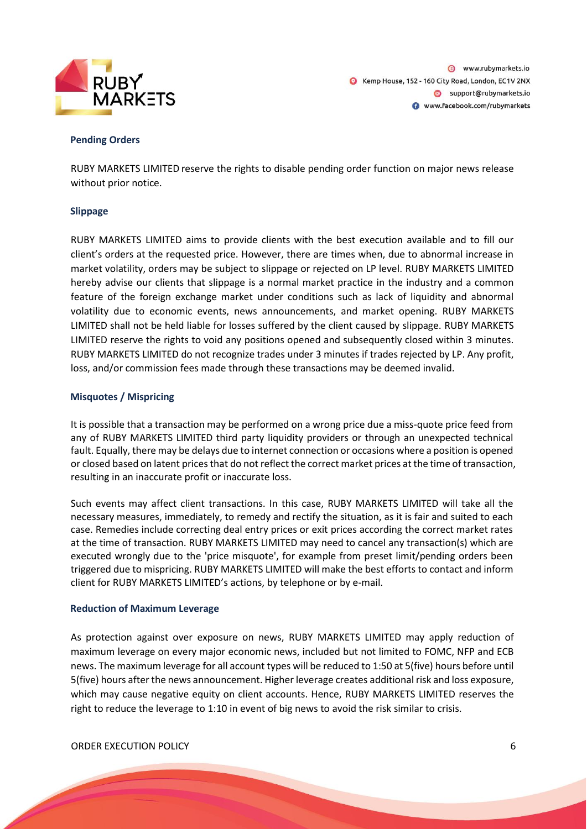

#### **Pending Orders**

RUBY MARKETS LIMITED reserve the rights to disable pending order function on major news release without prior notice.

#### **Slippage**

RUBY MARKETS LIMITED aims to provide clients with the best execution available and to fill our client's orders at the requested price. However, there are times when, due to abnormal increase in market volatility, orders may be subject to slippage or rejected on LP level. RUBY MARKETS LIMITED hereby advise our clients that slippage is a normal market practice in the industry and a common feature of the foreign exchange market under conditions such as lack of liquidity and abnormal volatility due to economic events, news announcements, and market opening. RUBY MARKETS LIMITED shall not be held liable for losses suffered by the client caused by slippage. RUBY MARKETS LIMITED reserve the rights to void any positions opened and subsequently closed within 3 minutes. RUBY MARKETS LIMITED do not recognize trades under 3 minutes if trades rejected by LP. Any profit, loss, and/or commission fees made through these transactions may be deemed invalid.

#### **Misquotes / Mispricing**

It is possible that a transaction may be performed on a wrong price due a miss-quote price feed from any of RUBY MARKETS LIMITED third party liquidity providers or through an unexpected technical fault. Equally, there may be delays due to internet connection or occasions where a position is opened or closed based on latent prices that do not reflect the correct market prices at the time of transaction, resulting in an inaccurate profit or inaccurate loss.

Such events may affect client transactions. In this case, RUBY MARKETS LIMITED will take all the necessary measures, immediately, to remedy and rectify the situation, as it is fair and suited to each case. Remedies include correcting deal entry prices or exit prices according the correct market rates at the time of transaction. RUBY MARKETS LIMITED may need to cancel any transaction(s) which are executed wrongly due to the 'price misquote', for example from preset limit/pending orders been triggered due to mispricing. RUBY MARKETS LIMITED will make the best efforts to contact and inform client for RUBY MARKETS LIMITED's actions, by telephone or by e-mail.

#### **Reduction of Maximum Leverage**

As protection against over exposure on news, RUBY MARKETS LIMITED may apply reduction of maximum leverage on every major economic news, included but not limited to FOMC, NFP and ECB news. The maximum leverage for all account types will be reduced to 1:50 at 5(five) hours before until 5(five) hours after the news announcement. Higher leverage creates additional risk and loss exposure, which may cause negative equity on client accounts. Hence, RUBY MARKETS LIMITED reserves the right to reduce the leverage to 1:10 in event of big news to avoid the risk similar to crisis.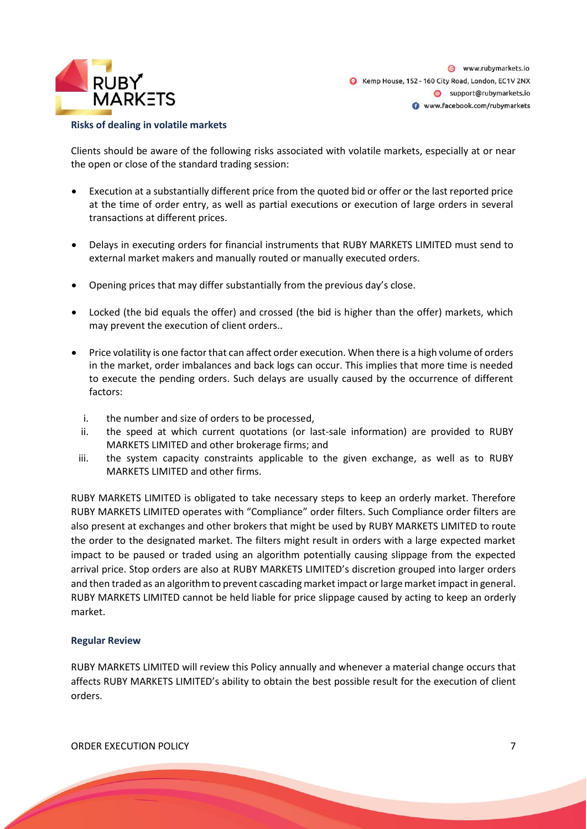

#### **Risks of dealing in volatile markets**

Clients should be aware of the following risks associated with volatile markets, especially at or near the open or close of the standard trading session:

- Execution at a substantially different price from the quoted bid or offer or the last reported price at the time of order entry, as well as partial executions or execution of large orders in several transactions at different prices.
- Delays in executing orders for financial instruments that RUBY MARKETS LIMITED must send to external market makers and manually routed or manually executed orders.
- Opening prices that may differ substantially from the previous day's close.
- Locked (the bid equals the offer) and crossed (the bid is higher than the offer) markets, which may prevent the execution of client orders..
- Price volatility is one factor that can affect order execution. When there is a high volume of orders in the market, order imbalances and back logs can occur. This implies that more time is needed to execute the pending orders. Such delays are usually caused by the occurrence of different factors:
	- i. the number and size of orders to be processed,
	- ii. the speed at which current quotations (or last-sale information) are provided to RUBY MARKETS LIMITED and other brokerage firms; and
	- iii. the system capacity constraints applicable to the given exchange, as well as to RUBY MARKETS LIMITED and other firms.

RUBY MARKETS LIMITED is obligated to take necessary steps to keep an orderly market. Therefore RUBY MARKETS LIMITED operates with "Compliance" order filters. Such Compliance order filters are also present at exchanges and other brokers that might be used by RUBY MARKETS LIMITED to route the order to the designated market. The filters might result in orders with a large expected market impact to be paused or traded using an algorithm potentially causing slippage from the expected arrival price. Stop orders are also at RUBY MARKETS LIMITED's discretion grouped into larger orders and then traded as an algorithm to prevent cascading market impact or large market impact in general. RUBY MARKETS LIMITED cannot be held liable for price slippage caused by acting to keep an orderly market.

#### **Regular Review**

RUBY MARKETS LIMITED will review this Policy annually and whenever a material change occurs that affects RUBY MARKETS LIMITED's ability to obtain the best possible result for the execution of client orders.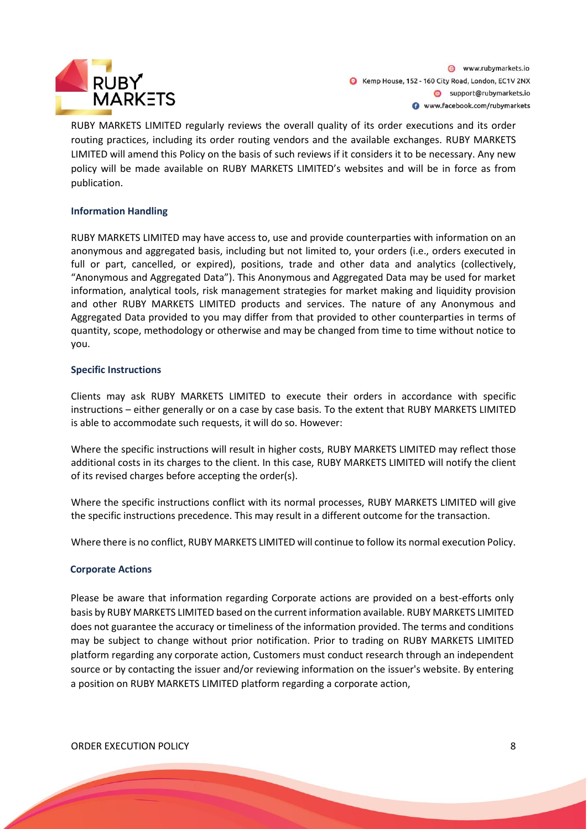

RUBY MARKETS LIMITED regularly reviews the overall quality of its order executions and its order routing practices, including its order routing vendors and the available exchanges. RUBY MARKETS LIMITED will amend this Policy on the basis of such reviews if it considers it to be necessary. Any new policy will be made available on RUBY MARKETS LIMITED's websites and will be in force as from publication.

#### **Information Handling**

RUBY MARKETS LIMITED may have access to, use and provide counterparties with information on an anonymous and aggregated basis, including but not limited to, your orders (i.e., orders executed in full or part, cancelled, or expired), positions, trade and other data and analytics (collectively, "Anonymous and Aggregated Data"). This Anonymous and Aggregated Data may be used for market information, analytical tools, risk management strategies for market making and liquidity provision and other RUBY MARKETS LIMITED products and services. The nature of any Anonymous and Aggregated Data provided to you may differ from that provided to other counterparties in terms of quantity, scope, methodology or otherwise and may be changed from time to time without notice to you.

#### **Specific Instructions**

Clients may ask RUBY MARKETS LIMITED to execute their orders in accordance with specific instructions – either generally or on a case by case basis. To the extent that RUBY MARKETS LIMITED is able to accommodate such requests, it will do so. However:

Where the specific instructions will result in higher costs, RUBY MARKETS LIMITED may reflect those additional costs in its charges to the client. In this case, RUBY MARKETS LIMITED will notify the client of its revised charges before accepting the order(s).

Where the specific instructions conflict with its normal processes, RUBY MARKETS LIMITED will give the specific instructions precedence. This may result in a different outcome for the transaction.

Where there is no conflict, RUBY MARKETS LIMITED will continue to follow its normal execution Policy.

#### **Corporate Actions**

Please be aware that information regarding Corporate actions are provided on a best-efforts only basis by RUBY MARKETS LIMITED based on the current information available. RUBY MARKETS LIMITED does not guarantee the accuracy or timeliness of the information provided. The terms and conditions may be subject to change without prior notification. Prior to trading on RUBY MARKETS LIMITED platform regarding any corporate action, Customers must conduct research through an independent source or by contacting the issuer and/or reviewing information on the issuer's website. By entering a position on RUBY MARKETS LIMITED platform regarding a corporate action,